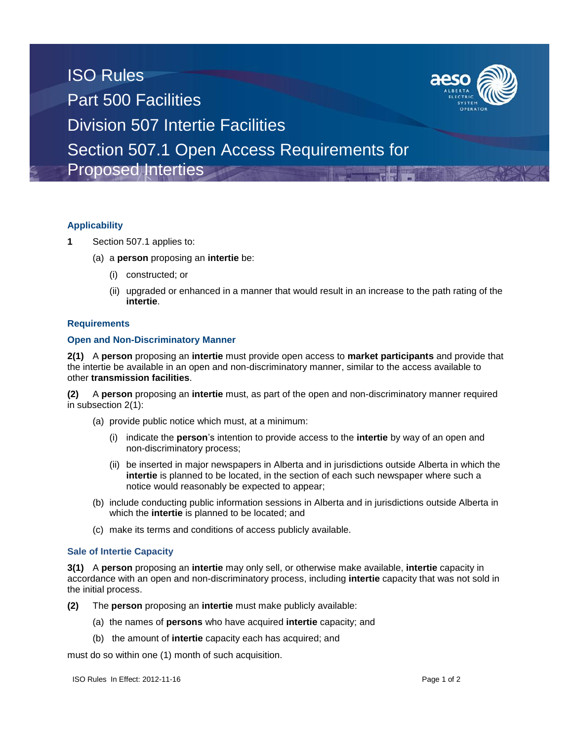# ISO Rules Part 500 Facilities Division 507 Intertie Facilities Section 507.1 Open Access Requirements for Proposed Interties

# **Applicability**

- **1** Section 507.1 applies to:
	- (a) a **person** proposing an **intertie** be:
		- (i) constructed; or
		- (ii) upgraded or enhanced in a manner that would result in an increase to the path rating of the **intertie**.

## **Requirements**

## **Open and Non-Discriminatory Manner**

**2(1)** A **person** proposing an **intertie** must provide open access to **market participants** and provide that the intertie be available in an open and non-discriminatory manner, similar to the access available to other **transmission facilities**.

**(2)** A **person** proposing an **intertie** must, as part of the open and non-discriminatory manner required in subsection 2(1):

- (a) provide public notice which must, at a minimum:
	- (i) indicate the **person**'s intention to provide access to the **intertie** by way of an open and non-discriminatory process;
	- (ii) be inserted in major newspapers in Alberta and in jurisdictions outside Alberta in which the **intertie** is planned to be located, in the section of each such newspaper where such a notice would reasonably be expected to appear;
- (b) include conducting public information sessions in Alberta and in jurisdictions outside Alberta in which the **intertie** is planned to be located; and
- (c) make its terms and conditions of access publicly available.

## **Sale of Intertie Capacity**

**3(1)** A **person** proposing an **intertie** may only sell, or otherwise make available, **intertie** capacity in accordance with an open and non-discriminatory process, including **intertie** capacity that was not sold in the initial process.

- **(2)** The **person** proposing an **intertie** must make publicly available:
	- (a) the names of **persons** who have acquired **intertie** capacity; and
	- (b) the amount of **intertie** capacity each has acquired; and

must do so within one (1) month of such acquisition.